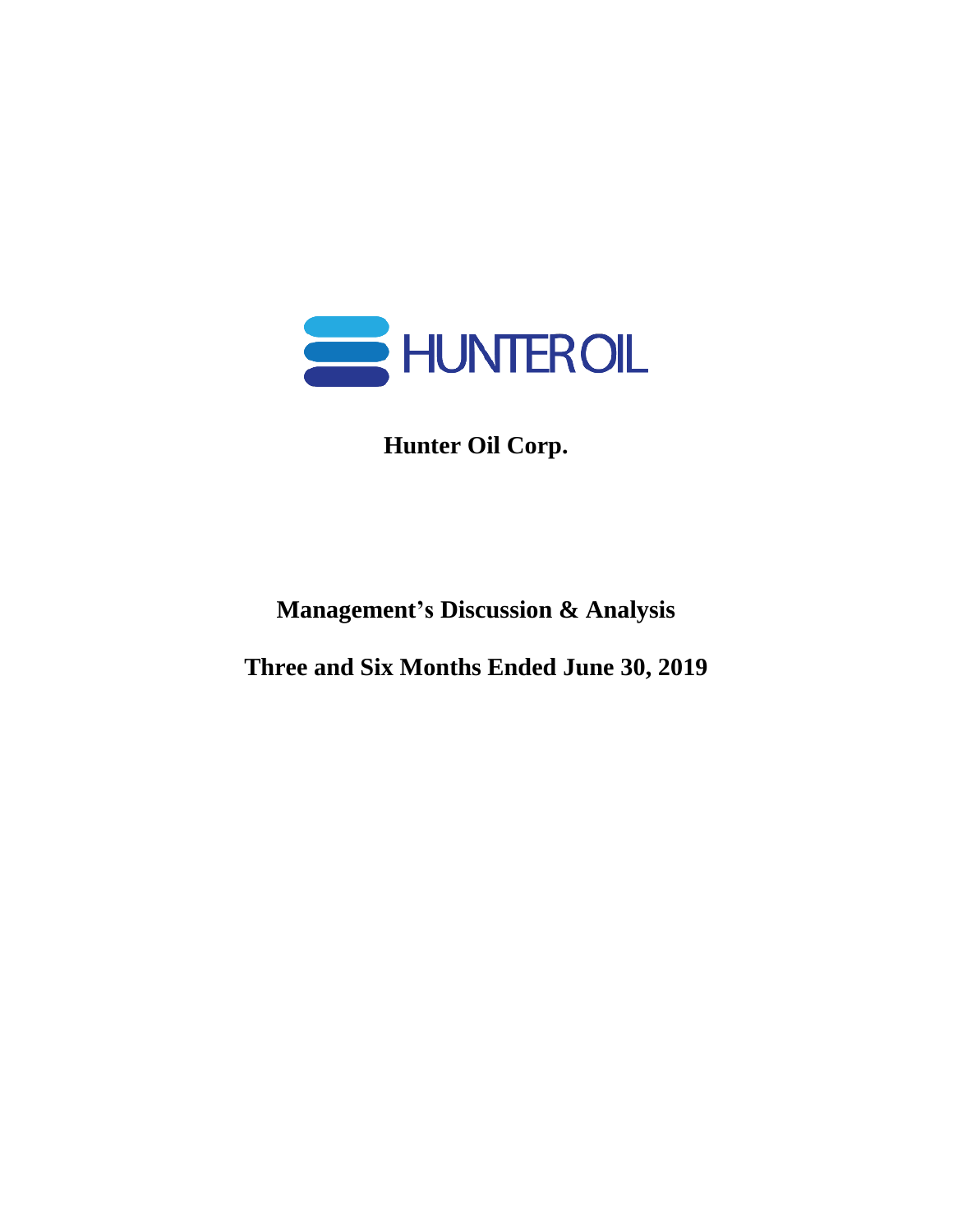

**Hunter Oil Corp.**

**Management's Discussion & Analysis**

**Three and Six Months Ended June 30, 2019**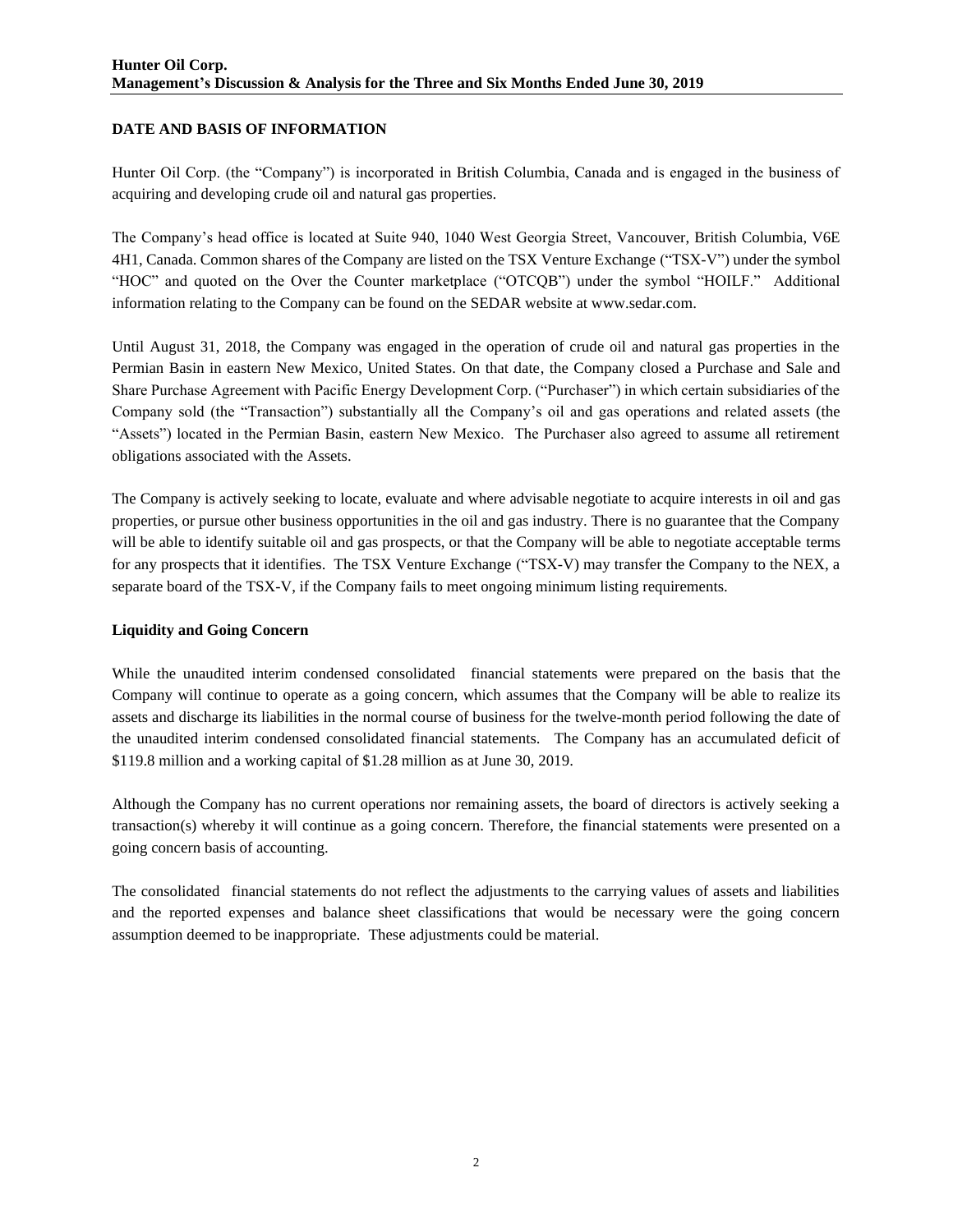# **DATE AND BASIS OF INFORMATION**

Hunter Oil Corp. (the "Company") is incorporated in British Columbia, Canada and is engaged in the business of acquiring and developing crude oil and natural gas properties.

The Company's head office is located at Suite 940, 1040 West Georgia Street, Vancouver, British Columbia, V6E 4H1, Canada. Common shares of the Company are listed on the TSX Venture Exchange ("TSX-V") under the symbol "HOC" and quoted on the Over the Counter marketplace ("OTCQB") under the symbol "HOILF." Additional information relating to the Company can be found on the SEDAR website at www.sedar.com.

Until August 31, 2018, the Company was engaged in the operation of crude oil and natural gas properties in the Permian Basin in eastern New Mexico, United States. On that date, the Company closed a Purchase and Sale and Share Purchase Agreement with Pacific Energy Development Corp. ("Purchaser") in which certain subsidiaries of the Company sold (the "Transaction") substantially all the Company's oil and gas operations and related assets (the "Assets") located in the Permian Basin, eastern New Mexico. The Purchaser also agreed to assume all retirement obligations associated with the Assets.

The Company is actively seeking to locate, evaluate and where advisable negotiate to acquire interests in oil and gas properties, or pursue other business opportunities in the oil and gas industry. There is no guarantee that the Company will be able to identify suitable oil and gas prospects, or that the Company will be able to negotiate acceptable terms for any prospects that it identifies. The TSX Venture Exchange ("TSX-V) may transfer the Company to the NEX, a separate board of the TSX-V, if the Company fails to meet ongoing minimum listing requirements.

## **Liquidity and Going Concern**

While the unaudited interim condensed consolidated financial statements were prepared on the basis that the Company will continue to operate as a going concern, which assumes that the Company will be able to realize its assets and discharge its liabilities in the normal course of business for the twelve-month period following the date of the unaudited interim condensed consolidated financial statements. The Company has an accumulated deficit of \$119.8 million and a working capital of \$1.28 million as at June 30, 2019.

Although the Company has no current operations nor remaining assets, the board of directors is actively seeking a transaction(s) whereby it will continue as a going concern. Therefore, the financial statements were presented on a going concern basis of accounting.

The consolidated financial statements do not reflect the adjustments to the carrying values of assets and liabilities and the reported expenses and balance sheet classifications that would be necessary were the going concern assumption deemed to be inappropriate. These adjustments could be material.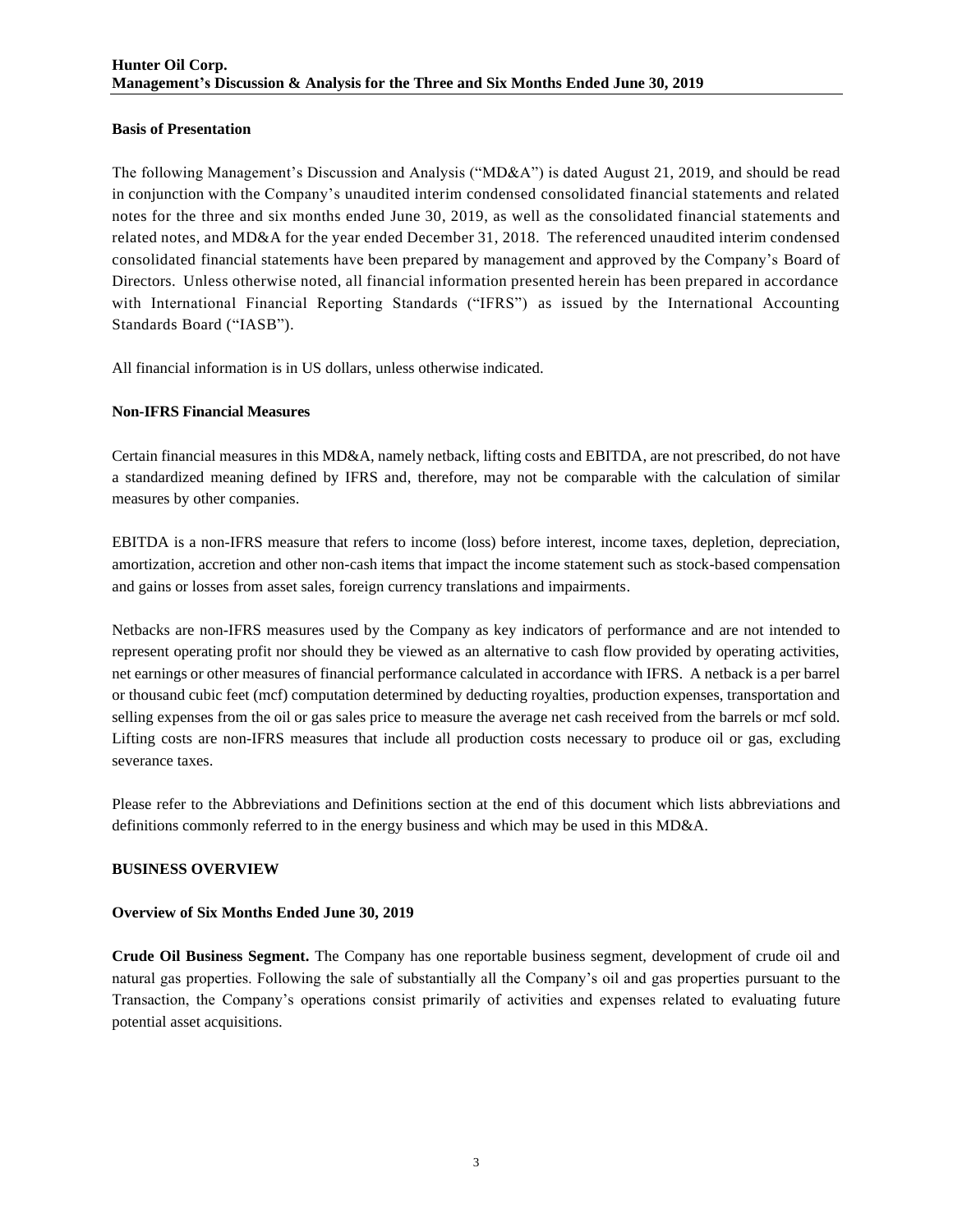## **Basis of Presentation**

The following Management's Discussion and Analysis ("MD&A") is dated August 21, 2019, and should be read in conjunction with the Company's unaudited interim condensed consolidated financial statements and related notes for the three and six months ended June 30, 2019, as well as the consolidated financial statements and related notes, and MD&A for the year ended December 31, 2018. The referenced unaudited interim condensed consolidated financial statements have been prepared by management and approved by the Company's Board of Directors. Unless otherwise noted, all financial information presented herein has been prepared in accordance with International Financial Reporting Standards ("IFRS") as issued by the International Accounting Standards Board ("IASB").

All financial information is in US dollars, unless otherwise indicated.

## **Non-IFRS Financial Measures**

Certain financial measures in this MD&A, namely netback, lifting costs and EBITDA, are not prescribed, do not have a standardized meaning defined by IFRS and, therefore, may not be comparable with the calculation of similar measures by other companies.

EBITDA is a non-IFRS measure that refers to income (loss) before interest, income taxes, depletion, depreciation, amortization, accretion and other non-cash items that impact the income statement such as stock-based compensation and gains or losses from asset sales, foreign currency translations and impairments.

Netbacks are non-IFRS measures used by the Company as key indicators of performance and are not intended to represent operating profit nor should they be viewed as an alternative to cash flow provided by operating activities, net earnings or other measures of financial performance calculated in accordance with IFRS. A netback is a per barrel or thousand cubic feet (mcf) computation determined by deducting royalties, production expenses, transportation and selling expenses from the oil or gas sales price to measure the average net cash received from the barrels or mcf sold. Lifting costs are non-IFRS measures that include all production costs necessary to produce oil or gas, excluding severance taxes.

Please refer to the Abbreviations and Definitions section at the end of this document which lists abbreviations and definitions commonly referred to in the energy business and which may be used in this MD&A.

## **BUSINESS OVERVIEW**

## **Overview of Six Months Ended June 30, 2019**

**Crude Oil Business Segment.** The Company has one reportable business segment, development of crude oil and natural gas properties. Following the sale of substantially all the Company's oil and gas properties pursuant to the Transaction, the Company's operations consist primarily of activities and expenses related to evaluating future potential asset acquisitions.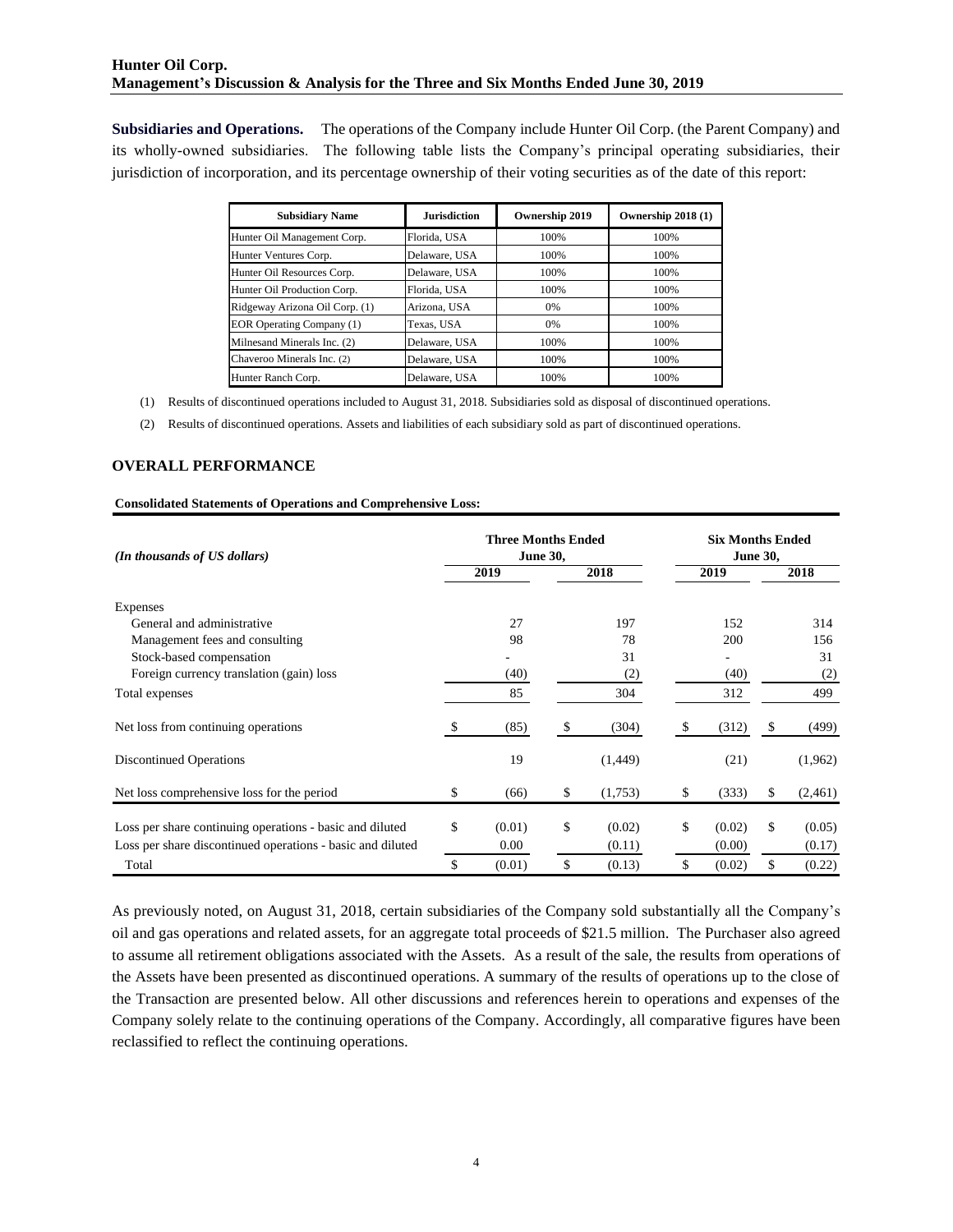**Subsidiaries and Operations.** The operations of the Company include Hunter Oil Corp. (the Parent Company) and its wholly-owned subsidiaries. The following table lists the Company's principal operating subsidiaries, their jurisdiction of incorporation, and its percentage ownership of their voting securities as of the date of this report:

| <b>Subsidiary Name</b>           | <b>Jurisdiction</b> | Ownership 2019 | Ownership 2018 (1) |
|----------------------------------|---------------------|----------------|--------------------|
| Hunter Oil Management Corp.      | Florida, USA        | 100%           | 100%               |
| Hunter Ventures Corp.            | Delaware, USA       | 100%           | 100%               |
| Hunter Oil Resources Corp.       | Delaware, USA       | 100%           | 100%               |
| Hunter Oil Production Corp.      | Florida, USA        | 100%           | 100%               |
| Ridgeway Arizona Oil Corp. (1)   | Arizona, USA        | 0%             | 100%               |
| <b>EOR Operating Company (1)</b> | Texas, USA          | 0%             | 100%               |
| Milnesand Minerals Inc. (2)      | Delaware, USA       | 100%           | 100%               |
| Chaveroo Minerals Inc. (2)       | Delaware, USA       | 100%           | 100%               |
| Hunter Ranch Corp.               | Delaware, USA       | 100%           | 100%               |

(1) Results of discontinued operations included to August 31, 2018. Subsidiaries sold as disposal of discontinued operations.

(2) Results of discontinued operations. Assets and liabilities of each subsidiary sold as part of discontinued operations.

## **OVERALL PERFORMANCE**

#### **Consolidated Statements of Operations and Comprehensive Loss:**

| (In thousands of US dollars)                               |    | <b>Three Months Ended</b><br><b>June 30,</b> |    |          | <b>Six Months Ended</b><br><b>June 30,</b> |        |    |         |  |  |
|------------------------------------------------------------|----|----------------------------------------------|----|----------|--------------------------------------------|--------|----|---------|--|--|
|                                                            |    | 2019                                         |    | 2018     |                                            | 2019   |    | 2018    |  |  |
| Expenses                                                   |    |                                              |    |          |                                            |        |    |         |  |  |
| General and administrative                                 |    | 27                                           |    | 197      |                                            | 152    |    | 314     |  |  |
| Management fees and consulting                             |    | 98                                           |    | 78       |                                            | 200    |    | 156     |  |  |
| Stock-based compensation                                   |    |                                              |    | 31       |                                            |        |    | 31      |  |  |
| Foreign currency translation (gain) loss                   |    | (40)                                         |    | (2)      |                                            | (40)   |    | (2)     |  |  |
| Total expenses                                             |    | 85                                           |    | 304      |                                            | 312    |    | 499     |  |  |
| Net loss from continuing operations                        | S. | (85)                                         | S  | (304)    |                                            | (312)  | \$ | (499)   |  |  |
| <b>Discontinued Operations</b>                             |    | 19                                           |    | (1, 449) |                                            | (21)   |    | (1,962) |  |  |
| Net loss comprehensive loss for the period                 | \$ | (66)                                         | \$ | (1,753)  | \$                                         | (333)  | \$ | (2,461) |  |  |
| Loss per share continuing operations - basic and diluted   | \$ | (0.01)                                       | \$ | (0.02)   | \$.                                        | (0.02) | \$ | (0.05)  |  |  |
| Loss per share discontinued operations - basic and diluted |    | 0.00                                         |    | (0.11)   |                                            | (0.00) |    | (0.17)  |  |  |
| Total                                                      | \$ | (0.01)                                       | \$ | (0.13)   | \$                                         | (0.02) | \$ | (0.22)  |  |  |

As previously noted, on August 31, 2018, certain subsidiaries of the Company sold substantially all the Company's oil and gas operations and related assets, for an aggregate total proceeds of \$21.5 million. The Purchaser also agreed to assume all retirement obligations associated with the Assets. As a result of the sale, the results from operations of the Assets have been presented as discontinued operations. A summary of the results of operations up to the close of the Transaction are presented below. All other discussions and references herein to operations and expenses of the Company solely relate to the continuing operations of the Company. Accordingly, all comparative figures have been reclassified to reflect the continuing operations.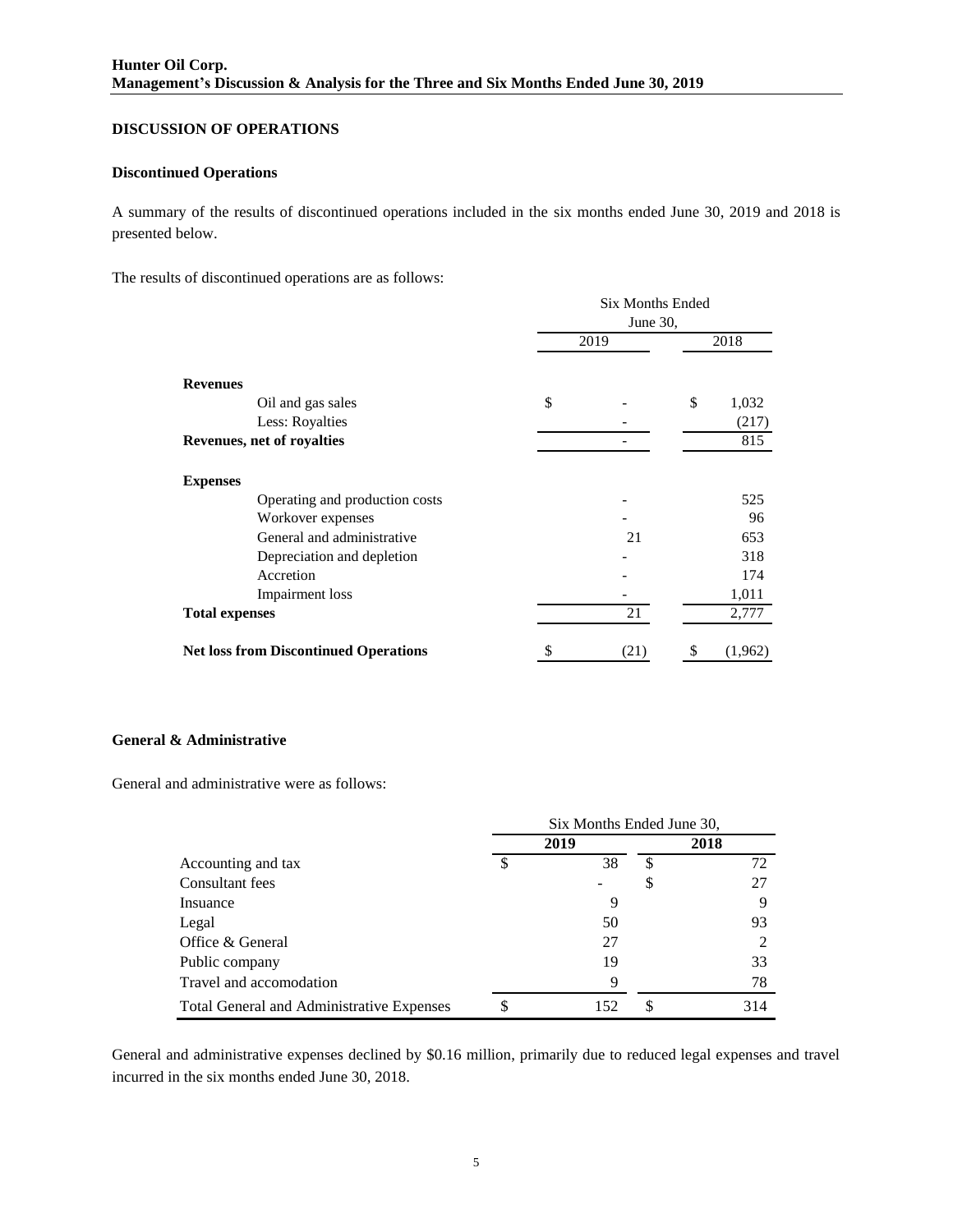## **DISCUSSION OF OPERATIONS**

## **Discontinued Operations**

A summary of the results of discontinued operations included in the six months ended June 30, 2019 and 2018 is presented below.

The results of discontinued operations are as follows:

|                                              | <b>Six Months Ended</b><br>June 30, |      |    |         |  |
|----------------------------------------------|-------------------------------------|------|----|---------|--|
|                                              | 2019                                | 2018 |    |         |  |
| <b>Revenues</b>                              |                                     |      |    |         |  |
| Oil and gas sales                            | \$                                  |      | \$ | 1,032   |  |
| Less: Royalties                              |                                     |      |    | (217)   |  |
| Revenues, net of royalties                   |                                     |      |    | 815     |  |
| <b>Expenses</b>                              |                                     |      |    |         |  |
| Operating and production costs               |                                     |      |    | 525     |  |
| Workover expenses                            |                                     |      |    | 96      |  |
| General and administrative                   |                                     | 21   |    | 653     |  |
| Depreciation and depletion                   |                                     |      |    | 318     |  |
| Accretion                                    |                                     |      |    | 174     |  |
| Impairment loss                              |                                     |      |    | 1,011   |  |
| <b>Total expenses</b>                        |                                     | 21   |    | 2,777   |  |
| <b>Net loss from Discontinued Operations</b> | \$                                  | (21) | \$ | (1,962) |  |

## **General & Administrative**

General and administrative were as follows:

|                                                  | Six Months Ended June 30, |      |  |      |  |  |
|--------------------------------------------------|---------------------------|------|--|------|--|--|
|                                                  |                           | 2019 |  | 2018 |  |  |
| Accounting and tax                               | S                         | 38   |  | 72   |  |  |
| Consultant fees                                  |                           |      |  | 27   |  |  |
| Insuance                                         |                           | 9    |  |      |  |  |
| Legal                                            |                           | 50   |  | 93   |  |  |
| Office & General                                 |                           | 27   |  |      |  |  |
| Public company                                   |                           | 19   |  | 33   |  |  |
| Travel and accomodation                          |                           | 9    |  | 78   |  |  |
| <b>Total General and Administrative Expenses</b> | \$                        | 152  |  | 314  |  |  |

General and administrative expenses declined by \$0.16 million, primarily due to reduced legal expenses and travel incurred in the six months ended June 30, 2018.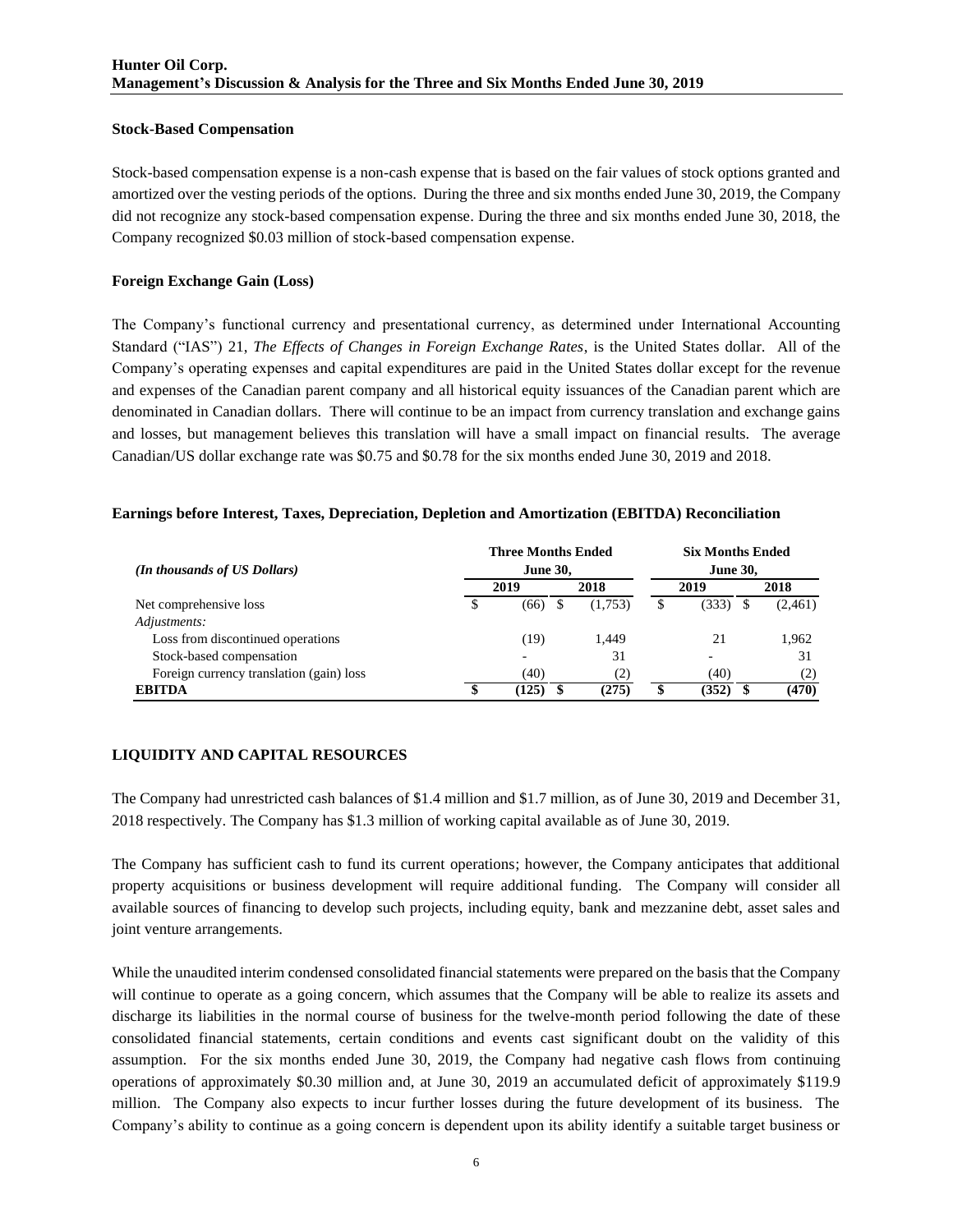### **Stock-Based Compensation**

Stock-based compensation expense is a non-cash expense that is based on the fair values of stock options granted and amortized over the vesting periods of the options. During the three and six months ended June 30, 2019, the Company did not recognize any stock-based compensation expense. During the three and six months ended June 30, 2018, the Company recognized \$0.03 million of stock-based compensation expense.

## **Foreign Exchange Gain (Loss)**

The Company's functional currency and presentational currency, as determined under International Accounting Standard ("IAS") 21, *The Effects of Changes in Foreign Exchange Rates*, is the United States dollar. All of the Company's operating expenses and capital expenditures are paid in the United States dollar except for the revenue and expenses of the Canadian parent company and all historical equity issuances of the Canadian parent which are denominated in Canadian dollars. There will continue to be an impact from currency translation and exchange gains and losses, but management believes this translation will have a small impact on financial results. The average Canadian/US dollar exchange rate was \$0.75 and \$0.78 for the six months ended June 30, 2019 and 2018.

## **Earnings before Interest, Taxes, Depreciation, Depletion and Amortization (EBITDA) Reconciliation**

| (In thousands of US Dollars)             |    | <b>Three Months Ended</b><br><b>June 30,</b> | <b>Six Months Ended</b><br><b>June 30,</b> |         |   |                          |  |         |
|------------------------------------------|----|----------------------------------------------|--------------------------------------------|---------|---|--------------------------|--|---------|
|                                          |    | 2019                                         |                                            | 2018    |   | 2019                     |  | 2018    |
| Net comprehensive loss                   | \$ | (66)                                         |                                            | (1,753) | S | (333)                    |  | (2,461) |
| Adjustments:                             |    |                                              |                                            |         |   |                          |  |         |
| Loss from discontinued operations        |    | (19                                          |                                            | 1.449   |   | 21                       |  | 1.962   |
| Stock-based compensation                 |    | $\overline{\phantom{0}}$                     |                                            | 31      |   | $\overline{\phantom{0}}$ |  | 31      |
| Foreign currency translation (gain) loss |    | (40)                                         |                                            | (2)     |   | (40)                     |  | (2)     |
| <b>EBITDA</b>                            | Φ  | (125)                                        |                                            | (275)   |   | (352)                    |  | (470)   |

# **LIQUIDITY AND CAPITAL RESOURCES**

The Company had unrestricted cash balances of \$1.4 million and \$1.7 million, as of June 30, 2019 and December 31, 2018 respectively. The Company has \$1.3 million of working capital available as of June 30, 2019.

The Company has sufficient cash to fund its current operations; however, the Company anticipates that additional property acquisitions or business development will require additional funding. The Company will consider all available sources of financing to develop such projects, including equity, bank and mezzanine debt, asset sales and joint venture arrangements.

While the unaudited interim condensed consolidated financial statements were prepared on the basis that the Company will continue to operate as a going concern, which assumes that the Company will be able to realize its assets and discharge its liabilities in the normal course of business for the twelve-month period following the date of these consolidated financial statements, certain conditions and events cast significant doubt on the validity of this assumption. For the six months ended June 30, 2019, the Company had negative cash flows from continuing operations of approximately \$0.30 million and, at June 30, 2019 an accumulated deficit of approximately \$119.9 million. The Company also expects to incur further losses during the future development of its business. The Company's ability to continue as a going concern is dependent upon its ability identify a suitable target business or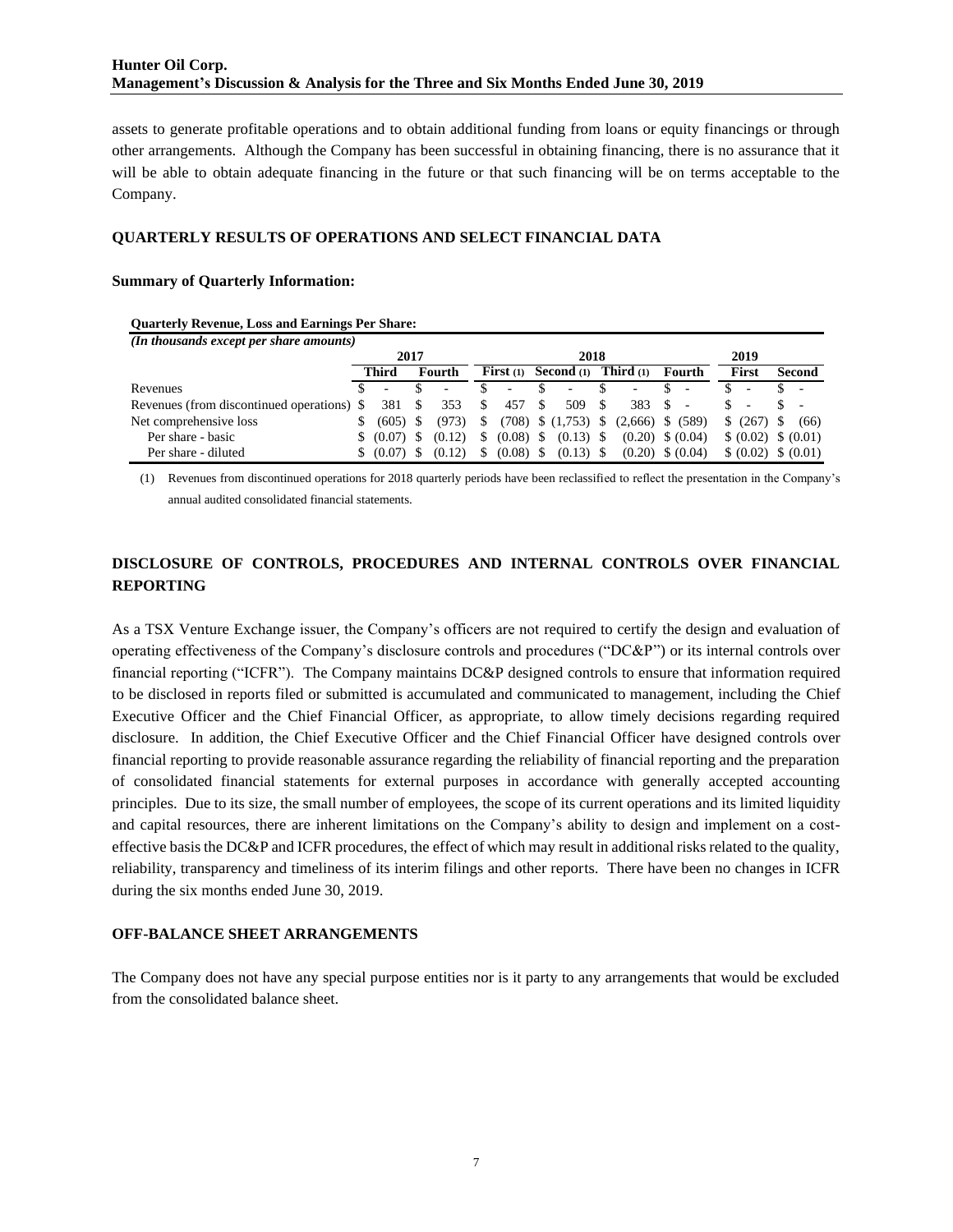assets to generate profitable operations and to obtain additional funding from loans or equity financings or through other arrangements. Although the Company has been successful in obtaining financing, there is no assurance that it will be able to obtain adequate financing in the future or that such financing will be on terms acceptable to the Company.

### **QUARTERLY RESULTS OF OPERATIONS AND SELECT FINANCIAL DATA**

### **Summary of Quarterly Information:**

#### **Quarterly Revenue, Loss and Earnings Per Share:**

| (In thousands except per share amounts)    |      |              |  |        |    |                          |      |                                    |      |                                              |     |        |  |       |  |                      |
|--------------------------------------------|------|--------------|--|--------|----|--------------------------|------|------------------------------------|------|----------------------------------------------|-----|--------|--|-------|--|----------------------|
|                                            | 2017 |              |  | 2018   |    |                          |      |                                    |      | 2019                                         |     |        |  |       |  |                      |
|                                            |      | Third        |  | Fourth |    | <b>First</b> $(1)$       |      | <b>Second</b> (1) <b>Third</b> (1) |      |                                              |     | Fourth |  | First |  | Second               |
| Revenues                                   |      | ٠            |  |        |    | $\overline{\phantom{a}}$ |      |                                    |      |                                              |     |        |  |       |  |                      |
| Revenues (from discontinued operations) \$ |      | 381 \$       |  | 353    | S. | 457                      | - \$ | 509                                | - \$ | 383                                          | - S |        |  |       |  |                      |
| Net comprehensive loss                     | S.   | $(605)$ \$   |  | (973)  | S. |                          |      |                                    |      | $(708)$ \$ $(1,753)$ \$ $(2,666)$ \$ $(589)$ |     |        |  | (267) |  | (66)                 |
| Per share - basic                          |      | \$ (0.07) \$ |  | (0.12) | S. | $(0.08)$ \$              |      | $(0.13)$ \$                        |      | $(0.20)$ \$ $(0.04)$                         |     |        |  |       |  | $(0.02)$ \$ $(0.01)$ |
| Per share - diluted                        |      | \$ (0.07) \$ |  | (0.12) | S. | $(0.08)$ \$              |      | $(0.13)$ \$                        |      | $(0.20)$ \$ $(0.04)$                         |     |        |  |       |  | $(0.02)$ \$ $(0.01)$ |

(1) Revenues from discontinued operations for 2018 quarterly periods have been reclassified to reflect the presentation in the Company's annual audited consolidated financial statements.

# **DISCLOSURE OF CONTROLS, PROCEDURES AND INTERNAL CONTROLS OVER FINANCIAL REPORTING**

As a TSX Venture Exchange issuer, the Company's officers are not required to certify the design and evaluation of operating effectiveness of the Company's disclosure controls and procedures ("DC&P") or its internal controls over financial reporting ("ICFR"). The Company maintains DC&P designed controls to ensure that information required to be disclosed in reports filed or submitted is accumulated and communicated to management, including the Chief Executive Officer and the Chief Financial Officer, as appropriate, to allow timely decisions regarding required disclosure. In addition, the Chief Executive Officer and the Chief Financial Officer have designed controls over financial reporting to provide reasonable assurance regarding the reliability of financial reporting and the preparation of consolidated financial statements for external purposes in accordance with generally accepted accounting principles. Due to its size, the small number of employees, the scope of its current operations and its limited liquidity and capital resources, there are inherent limitations on the Company's ability to design and implement on a costeffective basis the DC&P and ICFR procedures, the effect of which may result in additional risks related to the quality, reliability, transparency and timeliness of its interim filings and other reports. There have been no changes in ICFR during the six months ended June 30, 2019.

#### **OFF-BALANCE SHEET ARRANGEMENTS**

The Company does not have any special purpose entities nor is it party to any arrangements that would be excluded from the consolidated balance sheet.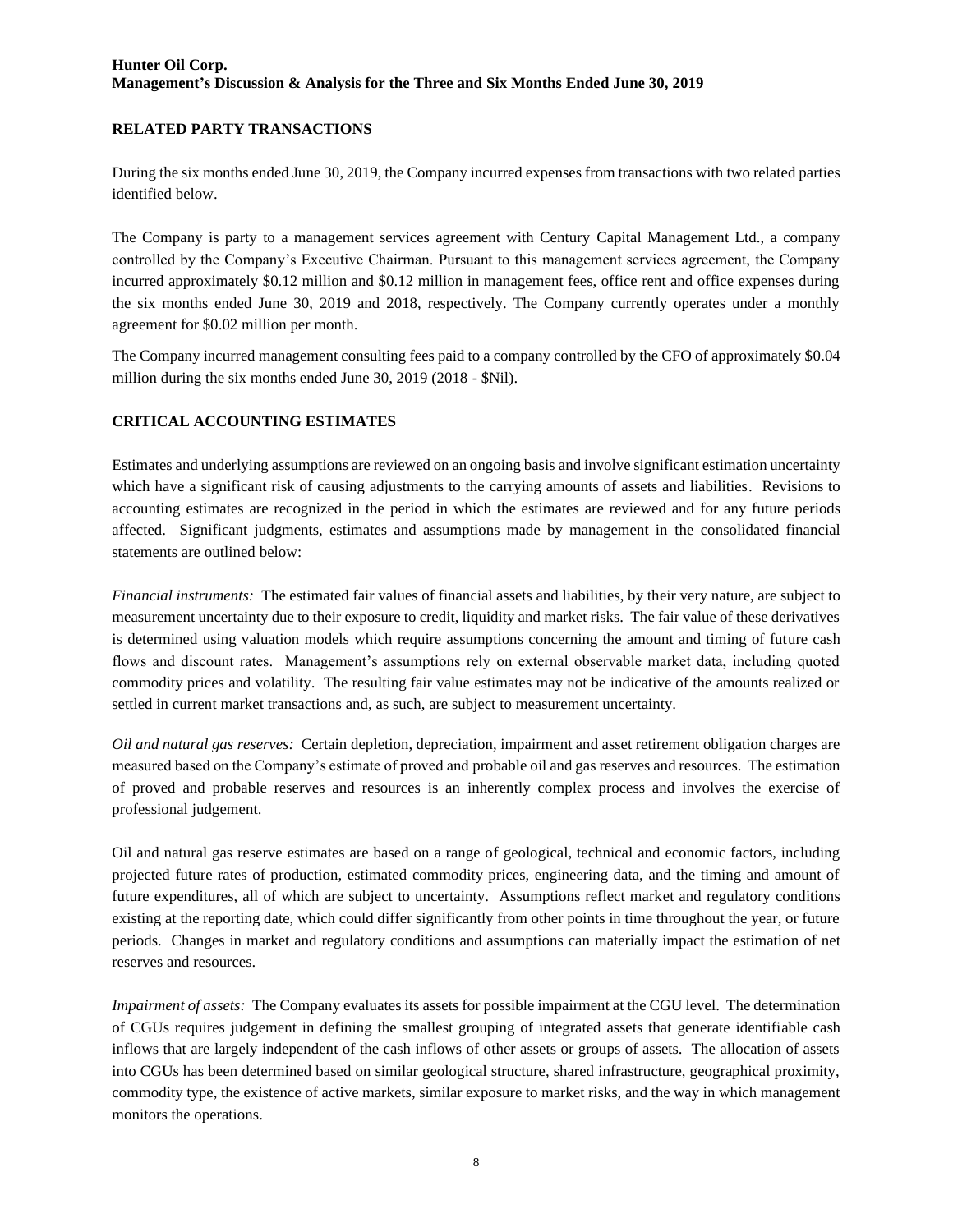# **RELATED PARTY TRANSACTIONS**

During the six months ended June 30, 2019, the Company incurred expenses from transactions with two related parties identified below.

The Company is party to a management services agreement with Century Capital Management Ltd., a company controlled by the Company's Executive Chairman. Pursuant to this management services agreement, the Company incurred approximately \$0.12 million and \$0.12 million in management fees, office rent and office expenses during the six months ended June 30, 2019 and 2018, respectively. The Company currently operates under a monthly agreement for \$0.02 million per month.

The Company incurred management consulting fees paid to a company controlled by the CFO of approximately \$0.04 million during the six months ended June 30, 2019 (2018 - \$Nil).

## **CRITICAL ACCOUNTING ESTIMATES**

Estimates and underlying assumptions are reviewed on an ongoing basis and involve significant estimation uncertainty which have a significant risk of causing adjustments to the carrying amounts of assets and liabilities. Revisions to accounting estimates are recognized in the period in which the estimates are reviewed and for any future periods affected. Significant judgments, estimates and assumptions made by management in the consolidated financial statements are outlined below:

*Financial instruments:* The estimated fair values of financial assets and liabilities, by their very nature, are subject to measurement uncertainty due to their exposure to credit, liquidity and market risks. The fair value of these derivatives is determined using valuation models which require assumptions concerning the amount and timing of future cash flows and discount rates. Management's assumptions rely on external observable market data, including quoted commodity prices and volatility. The resulting fair value estimates may not be indicative of the amounts realized or settled in current market transactions and, as such, are subject to measurement uncertainty.

*Oil and natural gas reserves:* Certain depletion, depreciation, impairment and asset retirement obligation charges are measured based on the Company's estimate of proved and probable oil and gas reserves and resources. The estimation of proved and probable reserves and resources is an inherently complex process and involves the exercise of professional judgement.

Oil and natural gas reserve estimates are based on a range of geological, technical and economic factors, including projected future rates of production, estimated commodity prices, engineering data, and the timing and amount of future expenditures, all of which are subject to uncertainty. Assumptions reflect market and regulatory conditions existing at the reporting date, which could differ significantly from other points in time throughout the year, or future periods. Changes in market and regulatory conditions and assumptions can materially impact the estimation of net reserves and resources.

*Impairment of assets:* The Company evaluates its assets for possible impairment at the CGU level. The determination of CGUs requires judgement in defining the smallest grouping of integrated assets that generate identifiable cash inflows that are largely independent of the cash inflows of other assets or groups of assets. The allocation of assets into CGUs has been determined based on similar geological structure, shared infrastructure, geographical proximity, commodity type, the existence of active markets, similar exposure to market risks, and the way in which management monitors the operations.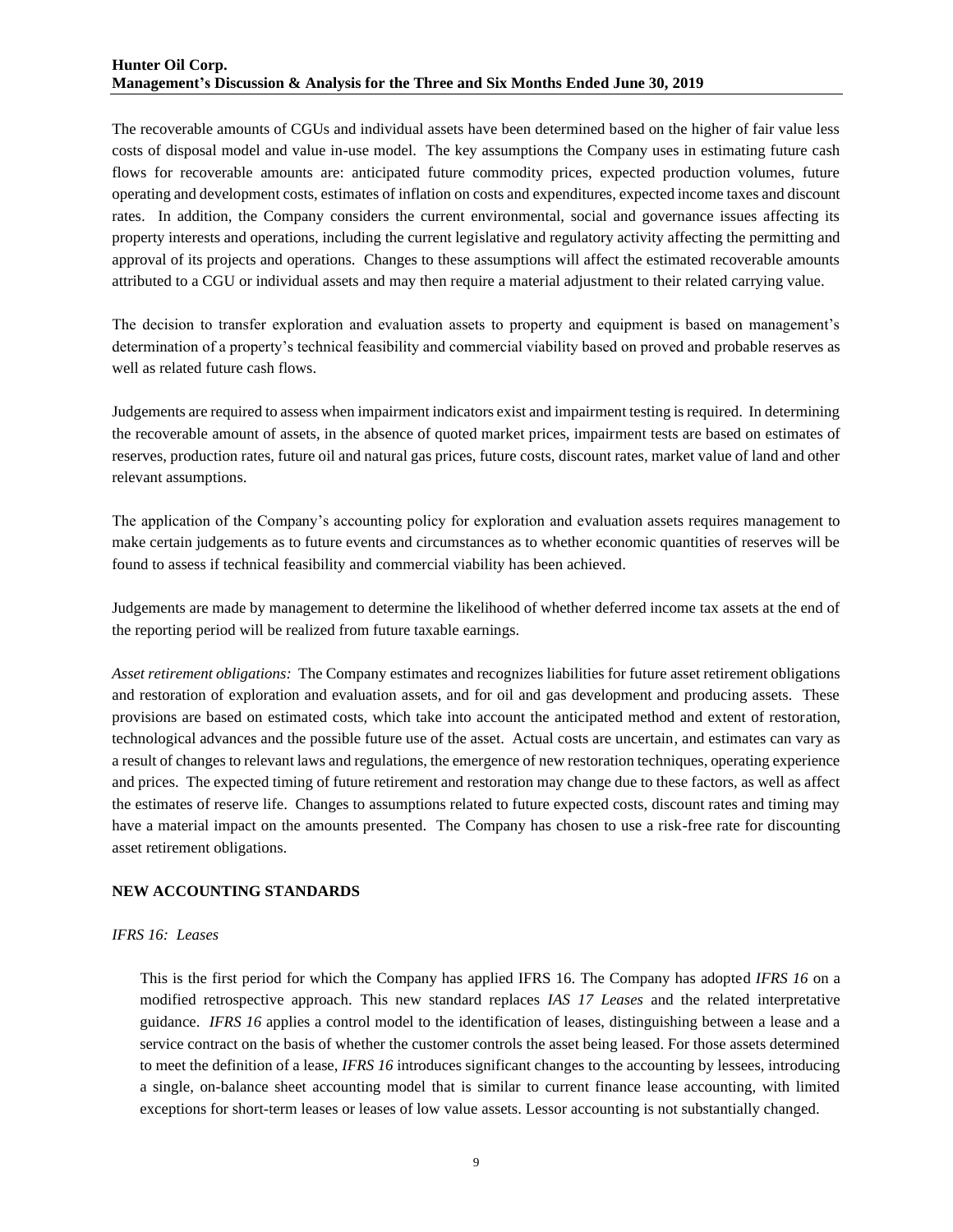The recoverable amounts of CGUs and individual assets have been determined based on the higher of fair value less costs of disposal model and value in-use model. The key assumptions the Company uses in estimating future cash flows for recoverable amounts are: anticipated future commodity prices, expected production volumes, future operating and development costs, estimates of inflation on costs and expenditures, expected income taxes and discount rates. In addition, the Company considers the current environmental, social and governance issues affecting its property interests and operations, including the current legislative and regulatory activity affecting the permitting and approval of its projects and operations. Changes to these assumptions will affect the estimated recoverable amounts attributed to a CGU or individual assets and may then require a material adjustment to their related carrying value.

The decision to transfer exploration and evaluation assets to property and equipment is based on management's determination of a property's technical feasibility and commercial viability based on proved and probable reserves as well as related future cash flows.

Judgements are required to assess when impairment indicators exist and impairment testing is required. In determining the recoverable amount of assets, in the absence of quoted market prices, impairment tests are based on estimates of reserves, production rates, future oil and natural gas prices, future costs, discount rates, market value of land and other relevant assumptions.

The application of the Company's accounting policy for exploration and evaluation assets requires management to make certain judgements as to future events and circumstances as to whether economic quantities of reserves will be found to assess if technical feasibility and commercial viability has been achieved.

Judgements are made by management to determine the likelihood of whether deferred income tax assets at the end of the reporting period will be realized from future taxable earnings.

*Asset retirement obligations:* The Company estimates and recognizes liabilities for future asset retirement obligations and restoration of exploration and evaluation assets, and for oil and gas development and producing assets. These provisions are based on estimated costs, which take into account the anticipated method and extent of restoration, technological advances and the possible future use of the asset. Actual costs are uncertain, and estimates can vary as a result of changes to relevant laws and regulations, the emergence of new restoration techniques, operating experience and prices. The expected timing of future retirement and restoration may change due to these factors, as well as affect the estimates of reserve life. Changes to assumptions related to future expected costs, discount rates and timing may have a material impact on the amounts presented. The Company has chosen to use a risk-free rate for discounting asset retirement obligations.

## **NEW ACCOUNTING STANDARDS**

#### *IFRS 16: Leases*

This is the first period for which the Company has applied IFRS 16. The Company has adopted *IFRS 16* on a modified retrospective approach. This new standard replaces *IAS 17 Leases* and the related interpretative guidance. *IFRS 16* applies a control model to the identification of leases, distinguishing between a lease and a service contract on the basis of whether the customer controls the asset being leased. For those assets determined to meet the definition of a lease, *IFRS 16* introduces significant changes to the accounting by lessees, introducing a single, on-balance sheet accounting model that is similar to current finance lease accounting, with limited exceptions for short-term leases or leases of low value assets. Lessor accounting is not substantially changed.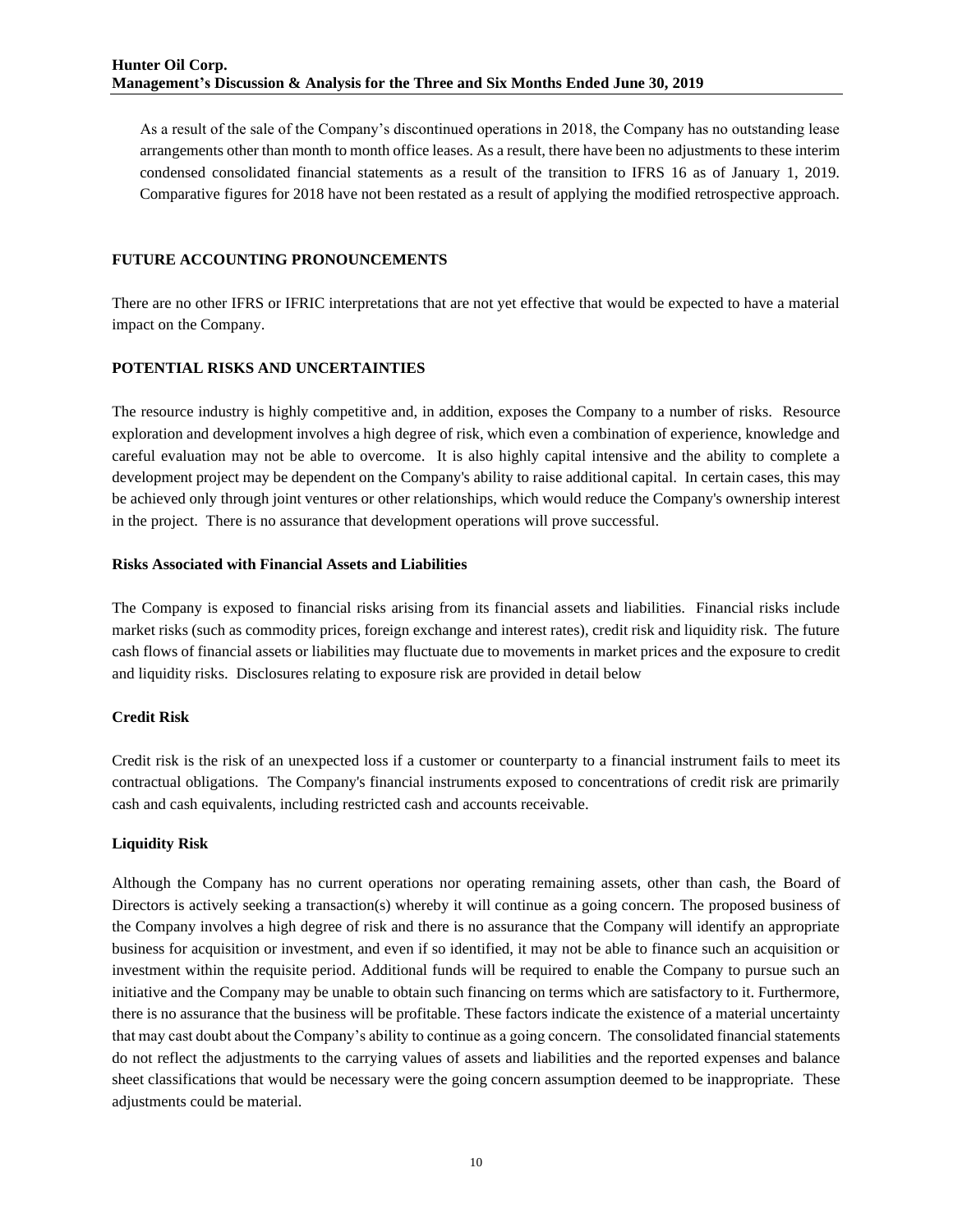As a result of the sale of the Company's discontinued operations in 2018, the Company has no outstanding lease arrangements other than month to month office leases. As a result, there have been no adjustments to these interim condensed consolidated financial statements as a result of the transition to IFRS 16 as of January 1, 2019. Comparative figures for 2018 have not been restated as a result of applying the modified retrospective approach.

## **FUTURE ACCOUNTING PRONOUNCEMENTS**

There are no other IFRS or IFRIC interpretations that are not yet effective that would be expected to have a material impact on the Company.

## **POTENTIAL RISKS AND UNCERTAINTIES**

The resource industry is highly competitive and, in addition, exposes the Company to a number of risks. Resource exploration and development involves a high degree of risk, which even a combination of experience, knowledge and careful evaluation may not be able to overcome. It is also highly capital intensive and the ability to complete a development project may be dependent on the Company's ability to raise additional capital. In certain cases, this may be achieved only through joint ventures or other relationships, which would reduce the Company's ownership interest in the project. There is no assurance that development operations will prove successful.

## **Risks Associated with Financial Assets and Liabilities**

The Company is exposed to financial risks arising from its financial assets and liabilities. Financial risks include market risks (such as commodity prices, foreign exchange and interest rates), credit risk and liquidity risk. The future cash flows of financial assets or liabilities may fluctuate due to movements in market prices and the exposure to credit and liquidity risks. Disclosures relating to exposure risk are provided in detail below

# **Credit Risk**

Credit risk is the risk of an unexpected loss if a customer or counterparty to a financial instrument fails to meet its contractual obligations. The Company's financial instruments exposed to concentrations of credit risk are primarily cash and cash equivalents, including restricted cash and accounts receivable.

## **Liquidity Risk**

Although the Company has no current operations nor operating remaining assets, other than cash, the Board of Directors is actively seeking a transaction(s) whereby it will continue as a going concern. The proposed business of the Company involves a high degree of risk and there is no assurance that the Company will identify an appropriate business for acquisition or investment, and even if so identified, it may not be able to finance such an acquisition or investment within the requisite period. Additional funds will be required to enable the Company to pursue such an initiative and the Company may be unable to obtain such financing on terms which are satisfactory to it. Furthermore, there is no assurance that the business will be profitable. These factors indicate the existence of a material uncertainty that may cast doubt about the Company's ability to continue as a going concern. The consolidated financial statements do not reflect the adjustments to the carrying values of assets and liabilities and the reported expenses and balance sheet classifications that would be necessary were the going concern assumption deemed to be inappropriate. These adjustments could be material.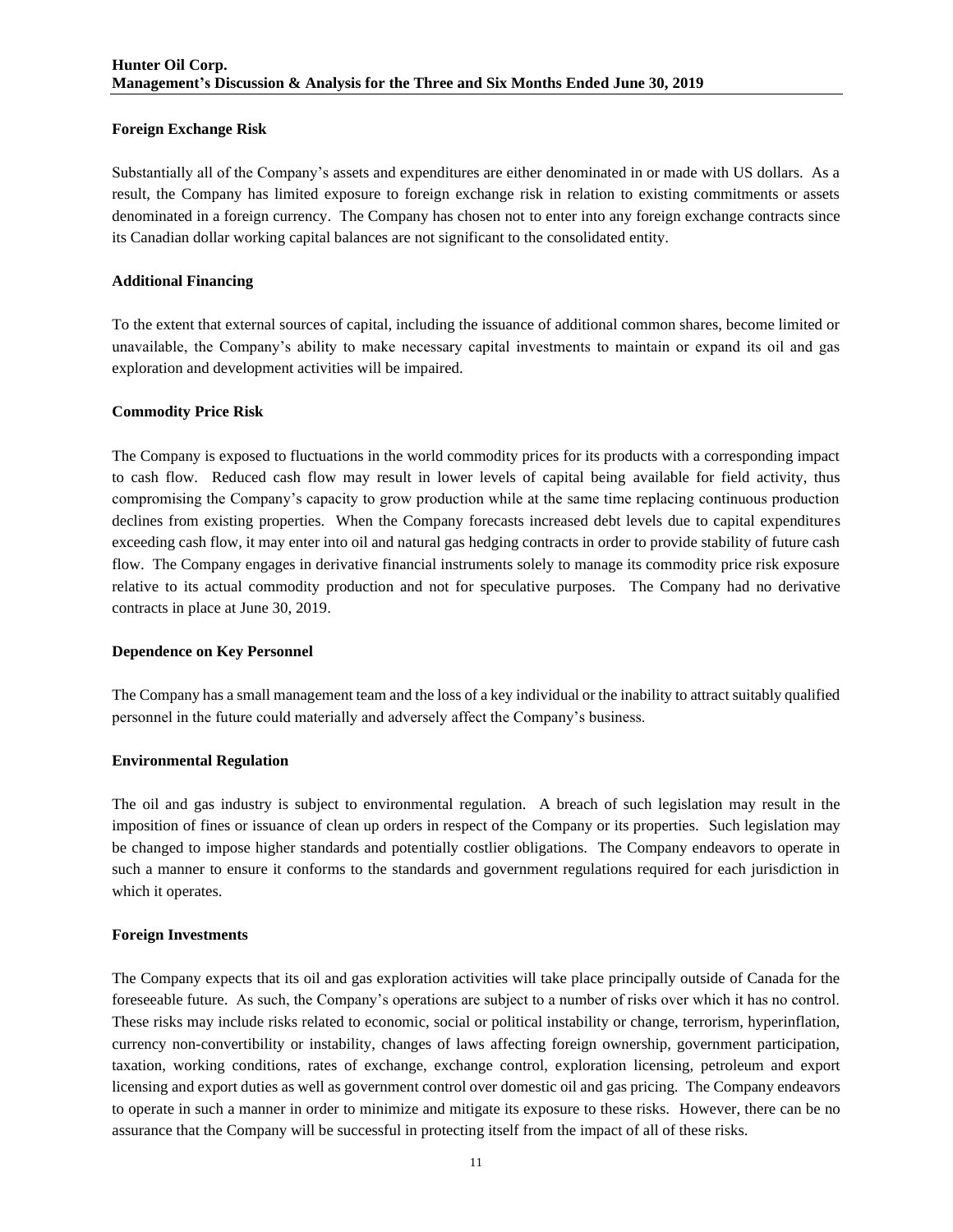## **Foreign Exchange Risk**

Substantially all of the Company's assets and expenditures are either denominated in or made with US dollars. As a result, the Company has limited exposure to foreign exchange risk in relation to existing commitments or assets denominated in a foreign currency. The Company has chosen not to enter into any foreign exchange contracts since its Canadian dollar working capital balances are not significant to the consolidated entity.

## **Additional Financing**

To the extent that external sources of capital, including the issuance of additional common shares, become limited or unavailable, the Company's ability to make necessary capital investments to maintain or expand its oil and gas exploration and development activities will be impaired.

## **Commodity Price Risk**

The Company is exposed to fluctuations in the world commodity prices for its products with a corresponding impact to cash flow. Reduced cash flow may result in lower levels of capital being available for field activity, thus compromising the Company's capacity to grow production while at the same time replacing continuous production declines from existing properties. When the Company forecasts increased debt levels due to capital expenditures exceeding cash flow, it may enter into oil and natural gas hedging contracts in order to provide stability of future cash flow. The Company engages in derivative financial instruments solely to manage its commodity price risk exposure relative to its actual commodity production and not for speculative purposes. The Company had no derivative contracts in place at June 30, 2019.

## **Dependence on Key Personnel**

The Company has a small management team and the loss of a key individual or the inability to attract suitably qualified personnel in the future could materially and adversely affect the Company's business.

## **Environmental Regulation**

The oil and gas industry is subject to environmental regulation. A breach of such legislation may result in the imposition of fines or issuance of clean up orders in respect of the Company or its properties. Such legislation may be changed to impose higher standards and potentially costlier obligations. The Company endeavors to operate in such a manner to ensure it conforms to the standards and government regulations required for each jurisdiction in which it operates.

## **Foreign Investments**

The Company expects that its oil and gas exploration activities will take place principally outside of Canada for the foreseeable future. As such, the Company's operations are subject to a number of risks over which it has no control. These risks may include risks related to economic, social or political instability or change, terrorism, hyperinflation, currency non-convertibility or instability, changes of laws affecting foreign ownership, government participation, taxation, working conditions, rates of exchange, exchange control, exploration licensing, petroleum and export licensing and export duties as well as government control over domestic oil and gas pricing. The Company endeavors to operate in such a manner in order to minimize and mitigate its exposure to these risks. However, there can be no assurance that the Company will be successful in protecting itself from the impact of all of these risks.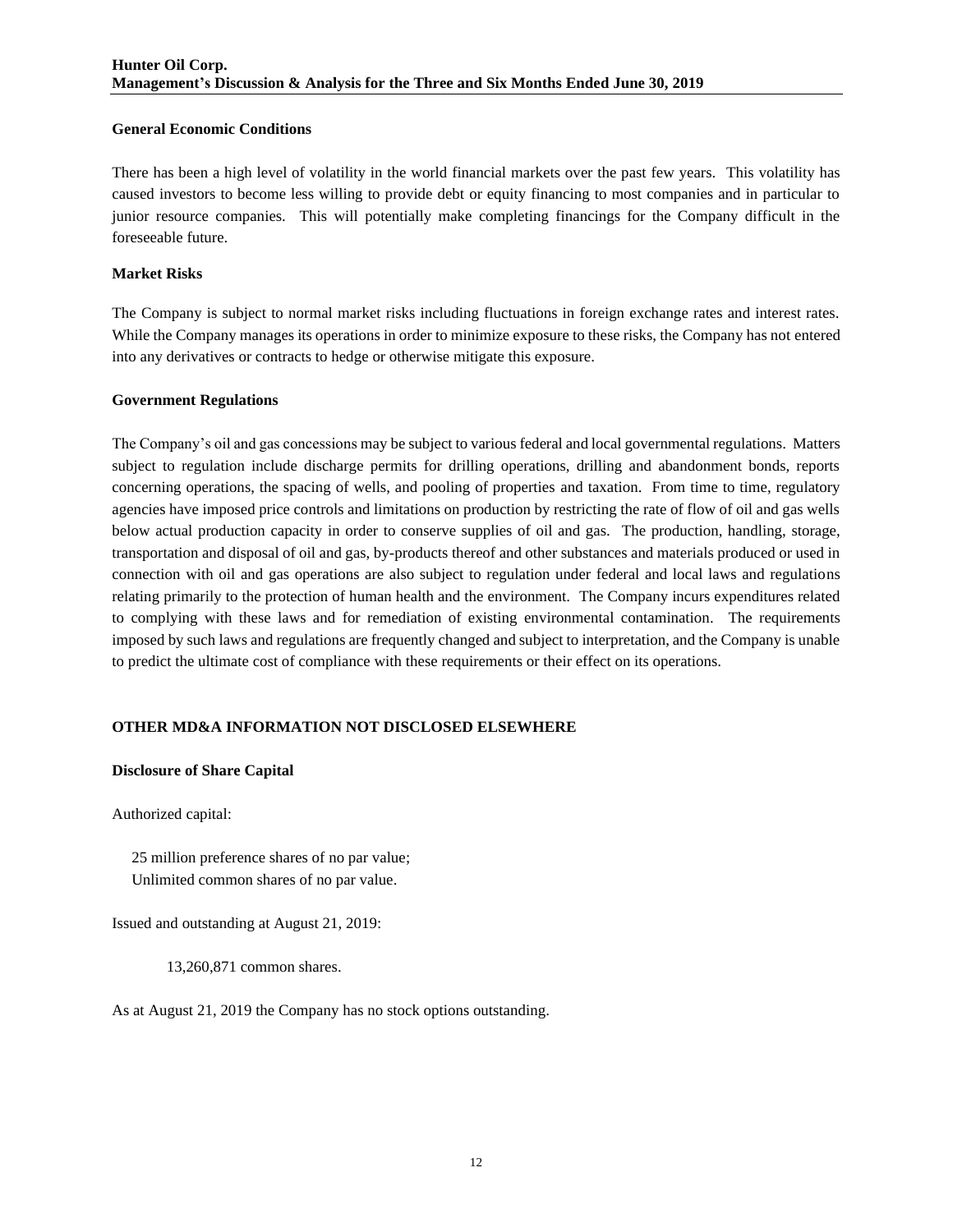## **General Economic Conditions**

There has been a high level of volatility in the world financial markets over the past few years. This volatility has caused investors to become less willing to provide debt or equity financing to most companies and in particular to junior resource companies. This will potentially make completing financings for the Company difficult in the foreseeable future.

# **Market Risks**

The Company is subject to normal market risks including fluctuations in foreign exchange rates and interest rates. While the Company manages its operations in order to minimize exposure to these risks, the Company has not entered into any derivatives or contracts to hedge or otherwise mitigate this exposure.

## **Government Regulations**

The Company's oil and gas concessions may be subject to various federal and local governmental regulations. Matters subject to regulation include discharge permits for drilling operations, drilling and abandonment bonds, reports concerning operations, the spacing of wells, and pooling of properties and taxation. From time to time, regulatory agencies have imposed price controls and limitations on production by restricting the rate of flow of oil and gas wells below actual production capacity in order to conserve supplies of oil and gas. The production, handling, storage, transportation and disposal of oil and gas, by-products thereof and other substances and materials produced or used in connection with oil and gas operations are also subject to regulation under federal and local laws and regulations relating primarily to the protection of human health and the environment. The Company incurs expenditures related to complying with these laws and for remediation of existing environmental contamination. The requirements imposed by such laws and regulations are frequently changed and subject to interpretation, and the Company is unable to predict the ultimate cost of compliance with these requirements or their effect on its operations.

# **OTHER MD&A INFORMATION NOT DISCLOSED ELSEWHERE**

## **Disclosure of Share Capital**

Authorized capital:

 25 million preference shares of no par value; Unlimited common shares of no par value.

Issued and outstanding at August 21, 2019:

13,260,871 common shares.

As at August 21, 2019 the Company has no stock options outstanding.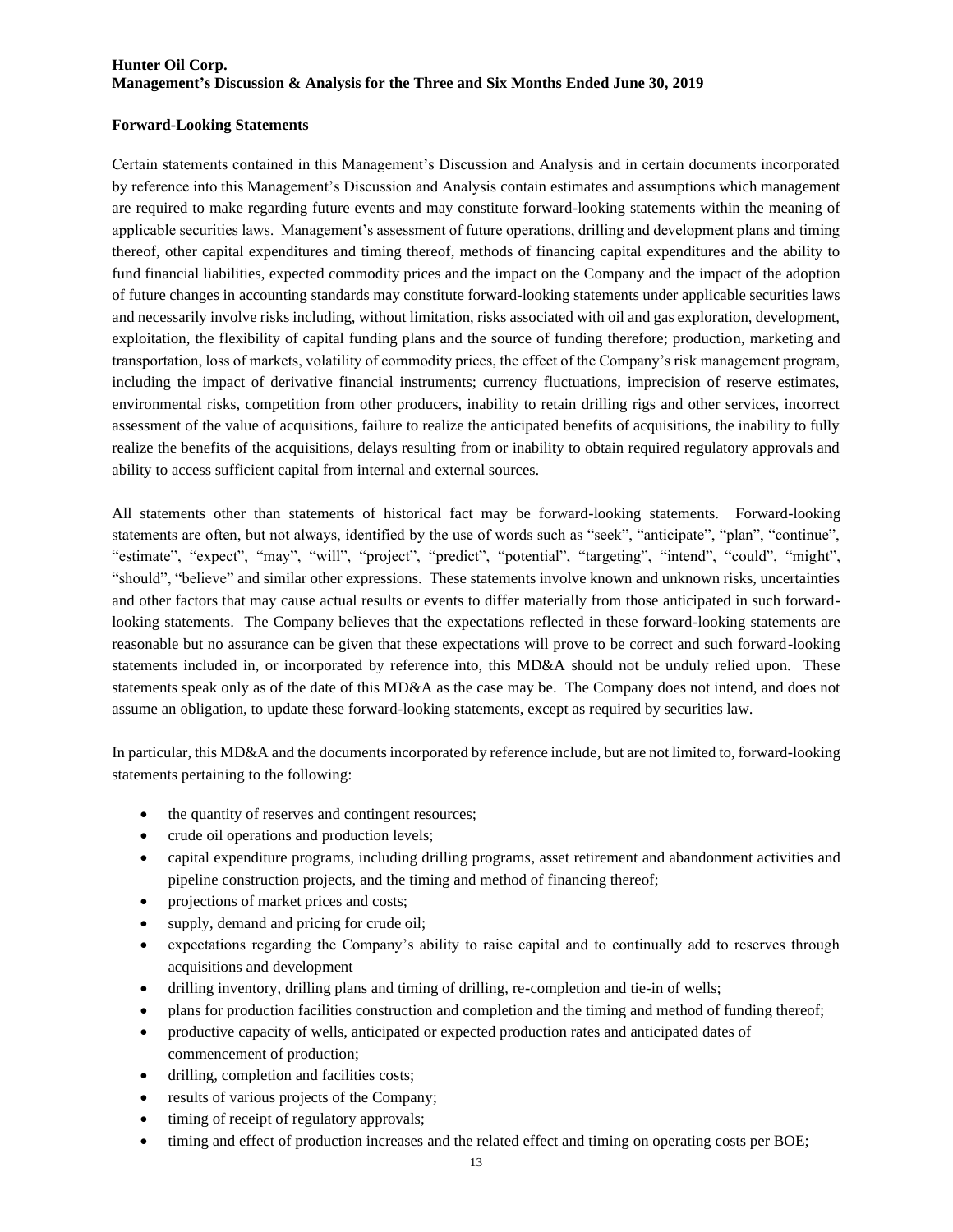### **Forward-Looking Statements**

Certain statements contained in this Management's Discussion and Analysis and in certain documents incorporated by reference into this Management's Discussion and Analysis contain estimates and assumptions which management are required to make regarding future events and may constitute forward-looking statements within the meaning of applicable securities laws. Management's assessment of future operations, drilling and development plans and timing thereof, other capital expenditures and timing thereof, methods of financing capital expenditures and the ability to fund financial liabilities, expected commodity prices and the impact on the Company and the impact of the adoption of future changes in accounting standards may constitute forward-looking statements under applicable securities laws and necessarily involve risks including, without limitation, risks associated with oil and gas exploration, development, exploitation, the flexibility of capital funding plans and the source of funding therefore; production, marketing and transportation, loss of markets, volatility of commodity prices, the effect of the Company's risk management program, including the impact of derivative financial instruments; currency fluctuations, imprecision of reserve estimates, environmental risks, competition from other producers, inability to retain drilling rigs and other services, incorrect assessment of the value of acquisitions, failure to realize the anticipated benefits of acquisitions, the inability to fully realize the benefits of the acquisitions, delays resulting from or inability to obtain required regulatory approvals and ability to access sufficient capital from internal and external sources.

All statements other than statements of historical fact may be forward-looking statements. Forward-looking statements are often, but not always, identified by the use of words such as "seek", "anticipate", "plan", "continue", "estimate", "expect", "may", "will", "project", "predict", "potential", "targeting", "intend", "could", "might", "should", "believe" and similar other expressions. These statements involve known and unknown risks, uncertainties and other factors that may cause actual results or events to differ materially from those anticipated in such forwardlooking statements. The Company believes that the expectations reflected in these forward-looking statements are reasonable but no assurance can be given that these expectations will prove to be correct and such forward-looking statements included in, or incorporated by reference into, this MD&A should not be unduly relied upon. These statements speak only as of the date of this MD&A as the case may be. The Company does not intend, and does not assume an obligation, to update these forward-looking statements, except as required by securities law.

In particular, this MD&A and the documents incorporated by reference include, but are not limited to, forward-looking statements pertaining to the following:

- the quantity of reserves and contingent resources;
- crude oil operations and production levels;
- capital expenditure programs, including drilling programs, asset retirement and abandonment activities and pipeline construction projects, and the timing and method of financing thereof;
- projections of market prices and costs;
- supply, demand and pricing for crude oil;
- expectations regarding the Company's ability to raise capital and to continually add to reserves through acquisitions and development
- drilling inventory, drilling plans and timing of drilling, re-completion and tie-in of wells;
- plans for production facilities construction and completion and the timing and method of funding thereof;
- productive capacity of wells, anticipated or expected production rates and anticipated dates of commencement of production;
- drilling, completion and facilities costs;
- results of various projects of the Company;
- timing of receipt of regulatory approvals;
- timing and effect of production increases and the related effect and timing on operating costs per BOE;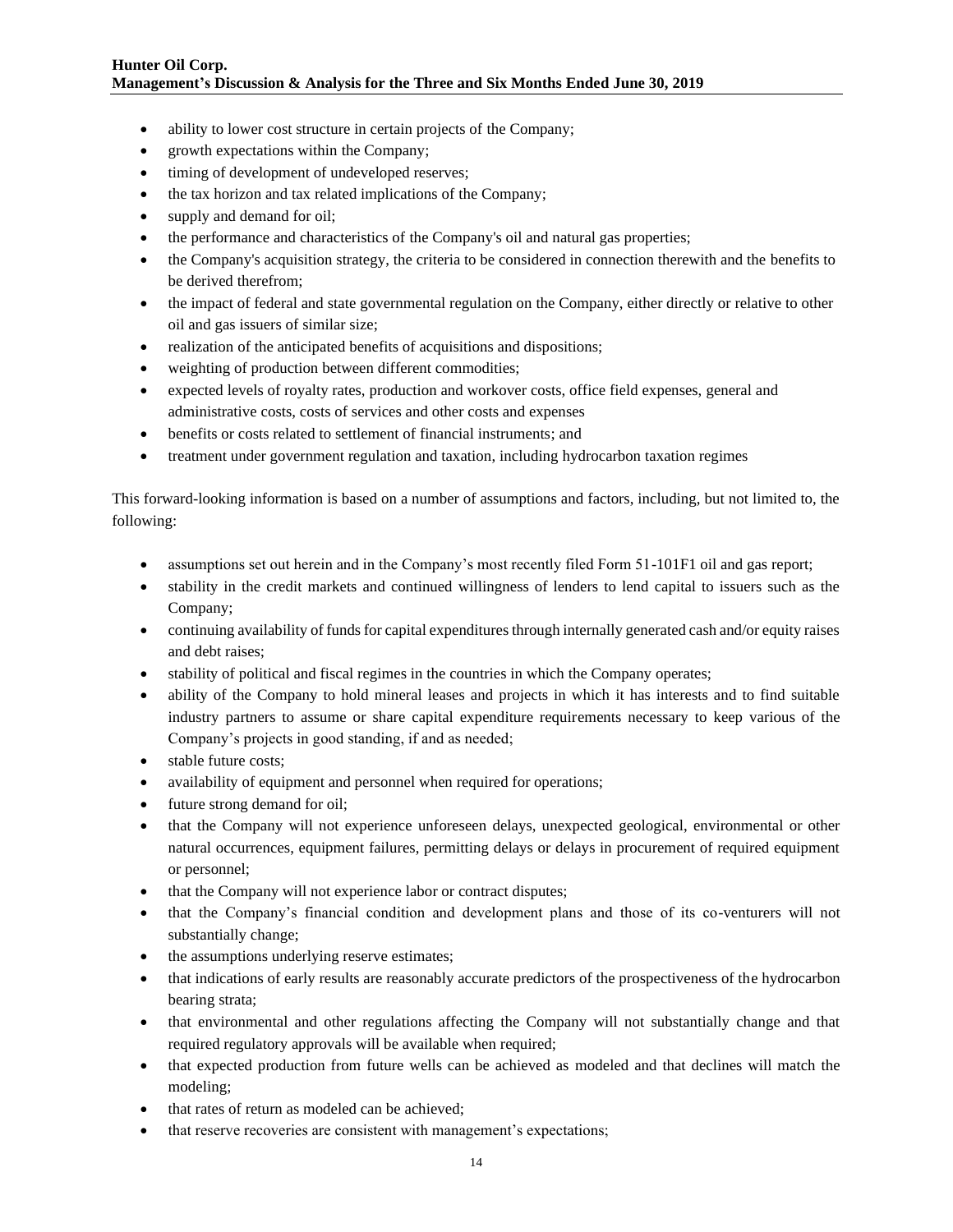- ability to lower cost structure in certain projects of the Company;
- growth expectations within the Company;
- timing of development of undeveloped reserves;
- the tax horizon and tax related implications of the Company;
- supply and demand for oil;
- the performance and characteristics of the Company's oil and natural gas properties;
- the Company's acquisition strategy, the criteria to be considered in connection therewith and the benefits to be derived therefrom;
- the impact of federal and state governmental regulation on the Company, either directly or relative to other oil and gas issuers of similar size;
- realization of the anticipated benefits of acquisitions and dispositions;
- weighting of production between different commodities;
- expected levels of royalty rates, production and workover costs, office field expenses, general and administrative costs, costs of services and other costs and expenses
- benefits or costs related to settlement of financial instruments; and
- treatment under government regulation and taxation, including hydrocarbon taxation regimes

This forward-looking information is based on a number of assumptions and factors, including, but not limited to, the following:

- assumptions set out herein and in the Company's most recently filed Form 51-101F1 oil and gas report;
- stability in the credit markets and continued willingness of lenders to lend capital to issuers such as the Company;
- continuing availability of funds for capital expenditures through internally generated cash and/or equity raises and debt raises;
- stability of political and fiscal regimes in the countries in which the Company operates;
- ability of the Company to hold mineral leases and projects in which it has interests and to find suitable industry partners to assume or share capital expenditure requirements necessary to keep various of the Company's projects in good standing, if and as needed;
- stable future costs;
- availability of equipment and personnel when required for operations;
- future strong demand for oil;
- that the Company will not experience unforeseen delays, unexpected geological, environmental or other natural occurrences, equipment failures, permitting delays or delays in procurement of required equipment or personnel;
- that the Company will not experience labor or contract disputes;
- that the Company's financial condition and development plans and those of its co-venturers will not substantially change;
- the assumptions underlying reserve estimates;
- that indications of early results are reasonably accurate predictors of the prospectiveness of the hydrocarbon bearing strata;
- that environmental and other regulations affecting the Company will not substantially change and that required regulatory approvals will be available when required;
- that expected production from future wells can be achieved as modeled and that declines will match the modeling;
- that rates of return as modeled can be achieved;
- that reserve recoveries are consistent with management's expectations;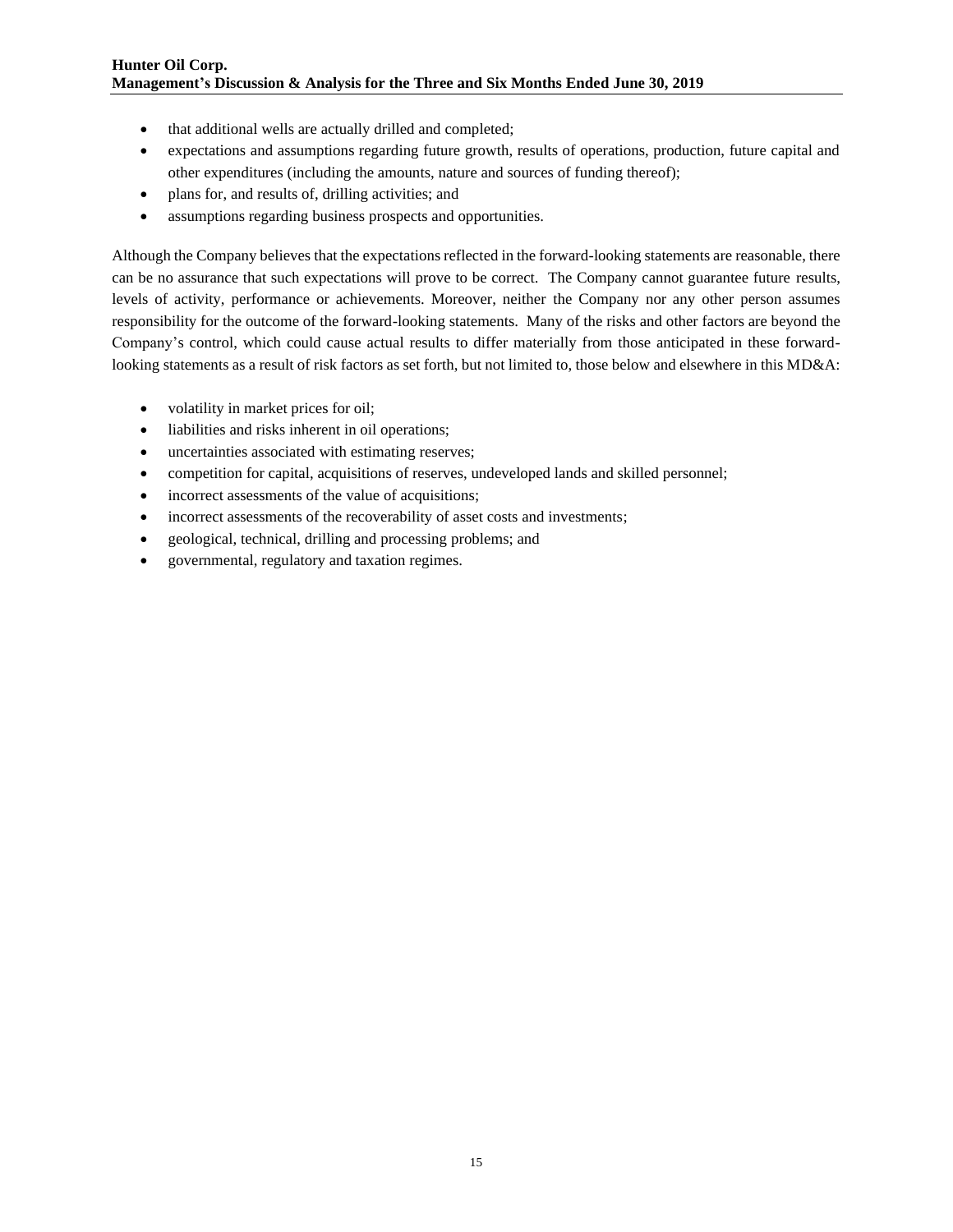- that additional wells are actually drilled and completed;
- expectations and assumptions regarding future growth, results of operations, production, future capital and other expenditures (including the amounts, nature and sources of funding thereof);
- plans for, and results of, drilling activities; and
- assumptions regarding business prospects and opportunities.

Although the Company believes that the expectations reflected in the forward-looking statements are reasonable, there can be no assurance that such expectations will prove to be correct. The Company cannot guarantee future results, levels of activity, performance or achievements. Moreover, neither the Company nor any other person assumes responsibility for the outcome of the forward-looking statements. Many of the risks and other factors are beyond the Company's control, which could cause actual results to differ materially from those anticipated in these forwardlooking statements as a result of risk factors as set forth, but not limited to, those below and elsewhere in this MD&A:

- volatility in market prices for oil;
- liabilities and risks inherent in oil operations;
- uncertainties associated with estimating reserves;
- competition for capital, acquisitions of reserves, undeveloped lands and skilled personnel;
- incorrect assessments of the value of acquisitions;
- incorrect assessments of the recoverability of asset costs and investments;
- geological, technical, drilling and processing problems; and
- governmental, regulatory and taxation regimes.